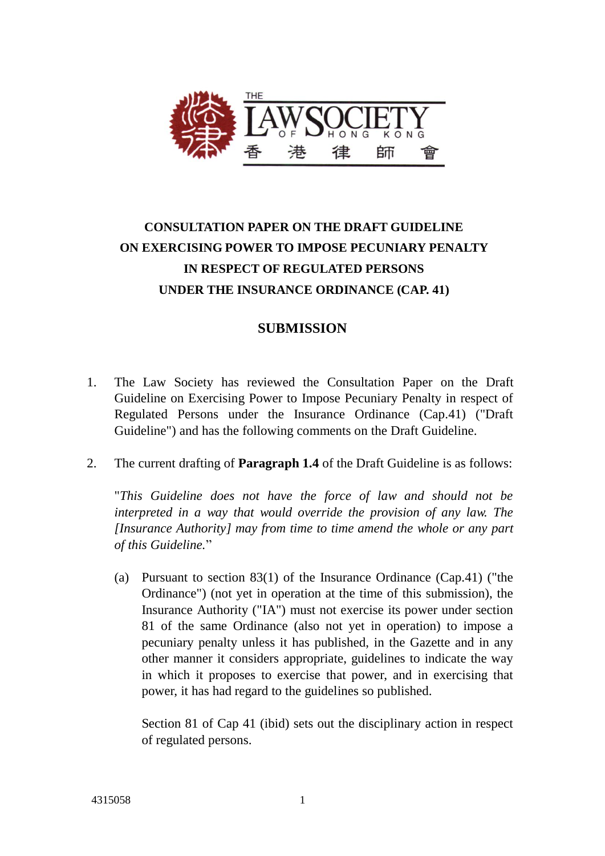

## **CONSULTATION PAPER ON THE DRAFT GUIDELINE ON EXERCISING POWER TO IMPOSE PECUNIARY PENALTY IN RESPECT OF REGULATED PERSONS UNDER THE INSURANCE ORDINANCE (CAP. 41)**

## **SUBMISSION**

- 1. The Law Society has reviewed the Consultation Paper on the Draft Guideline on Exercising Power to Impose Pecuniary Penalty in respect of Regulated Persons under the Insurance Ordinance (Cap.41) ("Draft Guideline") and has the following comments on the Draft Guideline.
- 2. The current drafting of **Paragraph 1.4** of the Draft Guideline is as follows:

"*This Guideline does not have the force of law and should not be interpreted in a way that would override the provision of any law. The [Insurance Authority] may from time to time amend the whole or any part of this Guideline.*"

(a) Pursuant to section 83(1) of the Insurance Ordinance (Cap.41) ("the Ordinance") (not yet in operation at the time of this submission), the Insurance Authority ("IA") must not exercise its power under section 81 of the same Ordinance (also not yet in operation) to impose a pecuniary penalty unless it has published, in the Gazette and in any other manner it considers appropriate, guidelines to indicate the way in which it proposes to exercise that power, and in exercising that power, it has had regard to the guidelines so published.

Section 81 of Cap 41 (ibid) sets out the disciplinary action in respect of regulated persons.